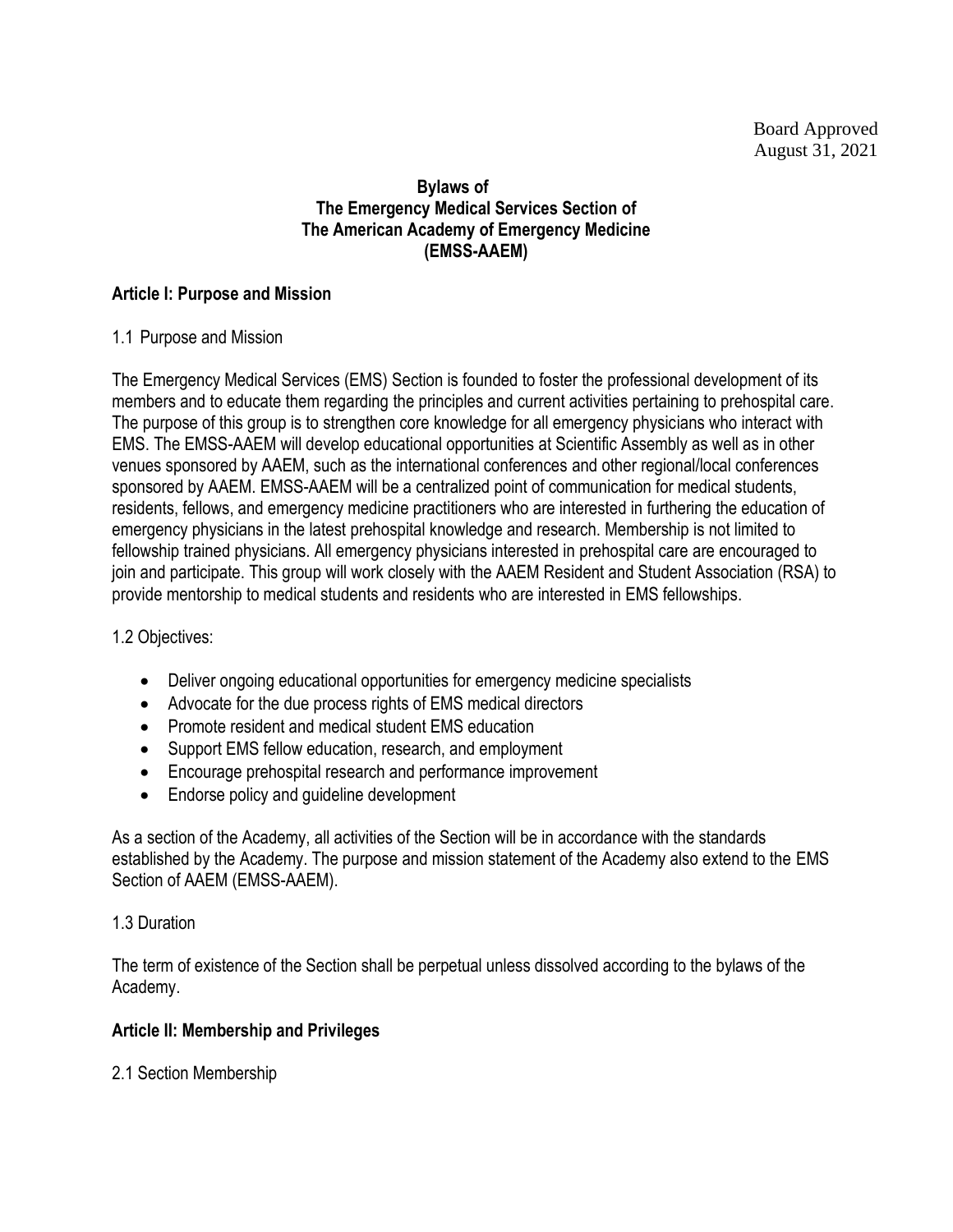# **Bylaws of The Emergency Medical Services Section of The American Academy of Emergency Medicine (EMSS-AAEM)**

# **Article I: Purpose and Mission**

# 1.1 Purpose and Mission

The Emergency Medical Services (EMS) Section is founded to foster the professional development of its members and to educate them regarding the principles and current activities pertaining to prehospital care. The purpose of this group is to strengthen core knowledge for all emergency physicians who interact with EMS. The EMSS-AAEM will develop educational opportunities at Scientific Assembly as well as in other venues sponsored by AAEM, such as the international conferences and other regional/local conferences sponsored by AAEM. EMSS-AAEM will be a centralized point of communication for medical students, residents, fellows, and emergency medicine practitioners who are interested in furthering the education of emergency physicians in the latest prehospital knowledge and research. Membership is not limited to fellowship trained physicians. All emergency physicians interested in prehospital care are encouraged to join and participate. This group will work closely with the AAEM Resident and Student Association (RSA) to provide mentorship to medical students and residents who are interested in EMS fellowships.

# 1.2 Objectives:

- Deliver ongoing educational opportunities for emergency medicine specialists
- Advocate for the due process rights of EMS medical directors
- Promote resident and medical student EMS education
- Support EMS fellow education, research, and employment
- Encourage prehospital research and performance improvement
- Endorse policy and guideline development

As a section of the Academy, all activities of the Section will be in accordance with the standards established by the Academy. The purpose and mission statement of the Academy also extend to the EMS Section of AAEM (EMSS-AAEM).

# 1.3 Duration

The term of existence of the Section shall be perpetual unless dissolved according to the bylaws of the Academy.

# **Article II: Membership and Privileges**

2.1 Section Membership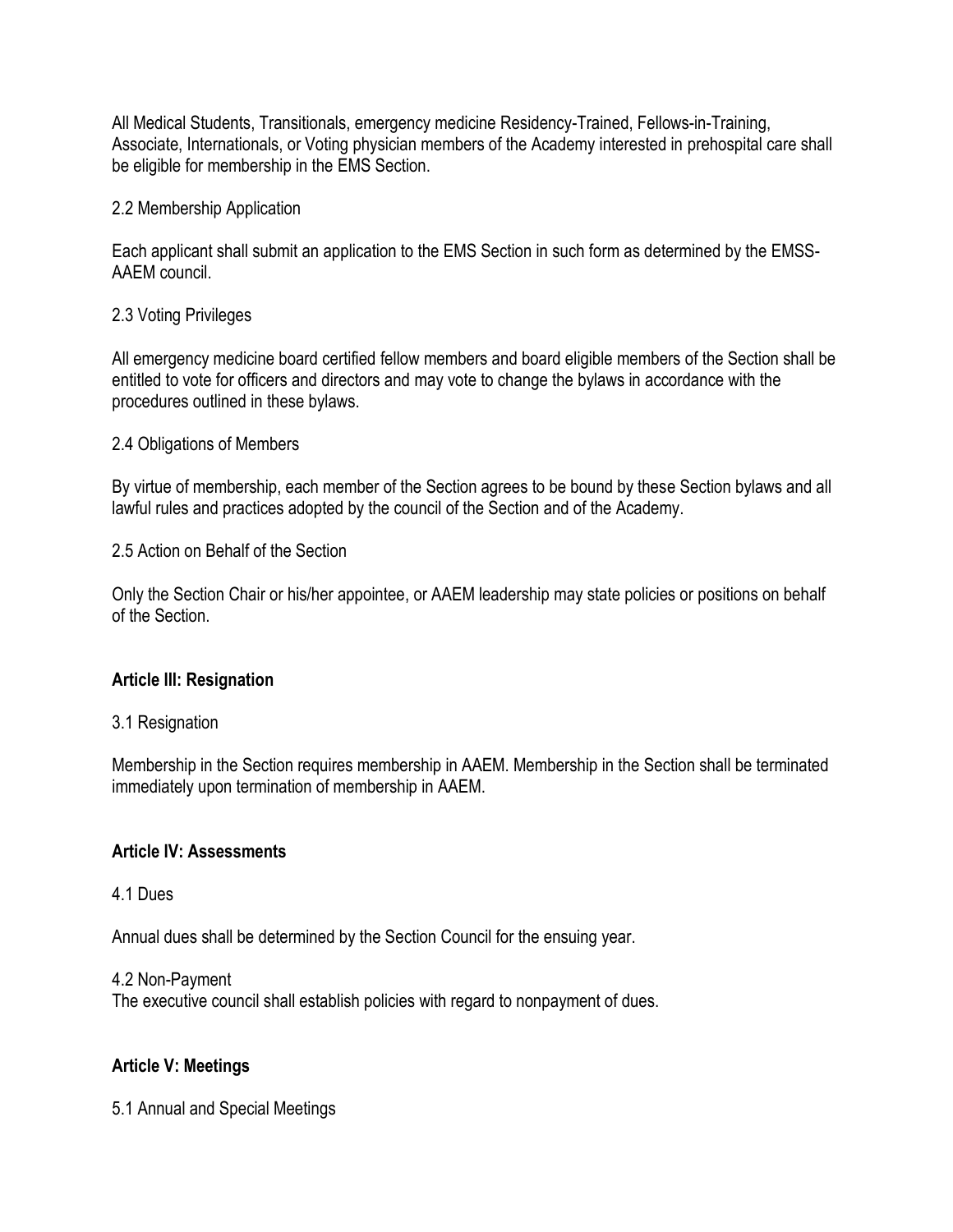All Medical Students, Transitionals, emergency medicine Residency-Trained, Fellows-in-Training, Associate, Internationals, or Voting physician members of the Academy interested in prehospital care shall be eligible for membership in the EMS Section.

#### 2.2 Membership Application

Each applicant shall submit an application to the EMS Section in such form as determined by the EMSS-AAEM council.

#### 2.3 Voting Privileges

All emergency medicine board certified fellow members and board eligible members of the Section shall be entitled to vote for officers and directors and may vote to change the bylaws in accordance with the procedures outlined in these bylaws.

#### 2.4 Obligations of Members

By virtue of membership, each member of the Section agrees to be bound by these Section bylaws and all lawful rules and practices adopted by the council of the Section and of the Academy.

2.5 Action on Behalf of the Section

Only the Section Chair or his/her appointee, or AAEM leadership may state policies or positions on behalf of the Section.

# **Article III: Resignation**

#### 3.1 Resignation

Membership in the Section requires membership in AAEM. Membership in the Section shall be terminated immediately upon termination of membership in AAEM.

#### **Article IV: Assessments**

#### 4.1 Dues

Annual dues shall be determined by the Section Council for the ensuing year.

#### 4.2 Non-Payment

The executive council shall establish policies with regard to nonpayment of dues.

# **Article V: Meetings**

5.1 Annual and Special Meetings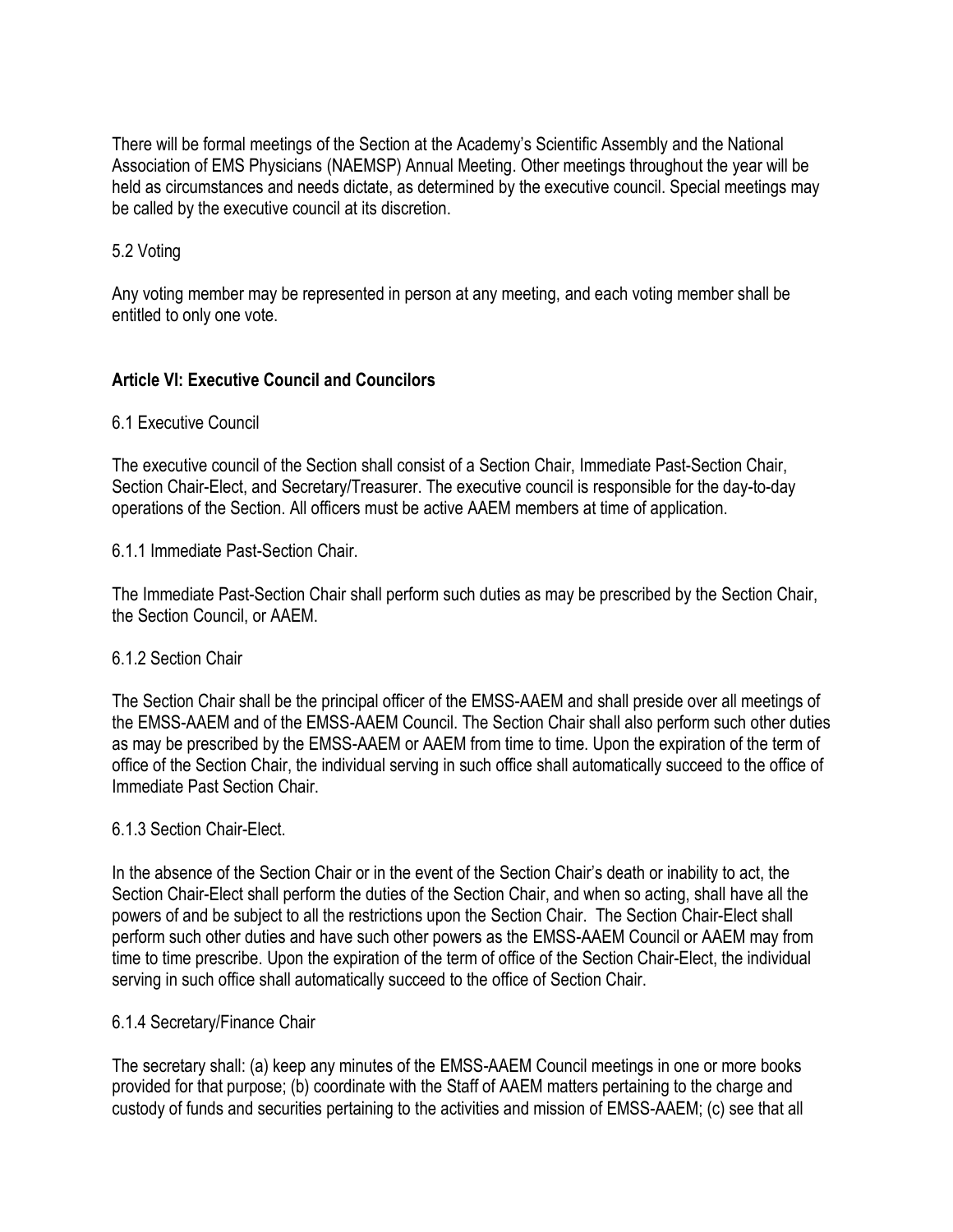There will be formal meetings of the Section at the Academy's Scientific Assembly and the National Association of EMS Physicians (NAEMSP) Annual Meeting. Other meetings throughout the year will be held as circumstances and needs dictate, as determined by the executive council. Special meetings may be called by the executive council at its discretion.

# 5.2 Voting

Any voting member may be represented in person at any meeting, and each voting member shall be entitled to only one vote.

# **Article VI: Executive Council and Councilors**

# 6.1 Executive Council

The executive council of the Section shall consist of a Section Chair, Immediate Past-Section Chair, Section Chair-Elect, and Secretary/Treasurer. The executive council is responsible for the day-to-day operations of the Section. All officers must be active AAEM members at time of application.

#### 6.1.1 Immediate Past-Section Chair.

The Immediate Past-Section Chair shall perform such duties as may be prescribed by the Section Chair, the Section Council, or AAEM.

# 6.1.2 Section Chair

The Section Chair shall be the principal officer of the EMSS-AAEM and shall preside over all meetings of the EMSS-AAEM and of the EMSS-AAEM Council. The Section Chair shall also perform such other duties as may be prescribed by the EMSS-AAEM or AAEM from time to time. Upon the expiration of the term of office of the Section Chair, the individual serving in such office shall automatically succeed to the office of Immediate Past Section Chair.

#### 6.1.3 Section Chair-Elect.

In the absence of the Section Chair or in the event of the Section Chair's death or inability to act, the Section Chair-Elect shall perform the duties of the Section Chair, and when so acting, shall have all the powers of and be subject to all the restrictions upon the Section Chair. The Section Chair-Elect shall perform such other duties and have such other powers as the EMSS-AAEM Council or AAEM may from time to time prescribe. Upon the expiration of the term of office of the Section Chair-Elect, the individual serving in such office shall automatically succeed to the office of Section Chair.

#### 6.1.4 Secretary/Finance Chair

The secretary shall: (a) keep any minutes of the EMSS-AAEM Council meetings in one or more books provided for that purpose; (b) coordinate with the Staff of AAEM matters pertaining to the charge and custody of funds and securities pertaining to the activities and mission of EMSS-AAEM; (c) see that all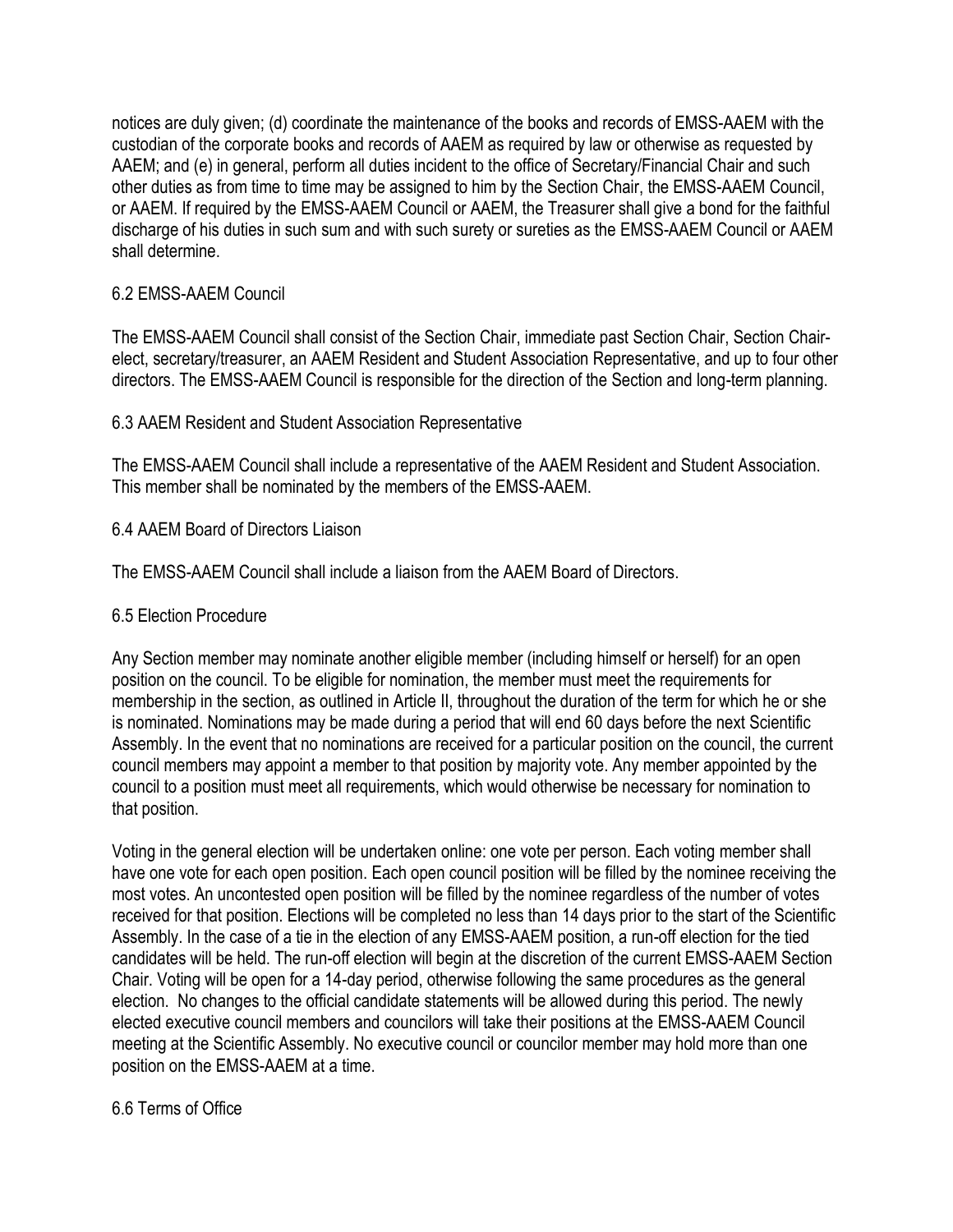notices are duly given; (d) coordinate the maintenance of the books and records of EMSS-AAEM with the custodian of the corporate books and records of AAEM as required by law or otherwise as requested by AAEM; and (e) in general, perform all duties incident to the office of Secretary/Financial Chair and such other duties as from time to time may be assigned to him by the Section Chair, the EMSS-AAEM Council, or AAEM. If required by the EMSS-AAEM Council or AAEM, the Treasurer shall give a bond for the faithful discharge of his duties in such sum and with such surety or sureties as the EMSS-AAEM Council or AAEM shall determine.

# 6.2 EMSS-AAEM Council

The EMSS-AAEM Council shall consist of the Section Chair, immediate past Section Chair, Section Chairelect, secretary/treasurer, an AAEM Resident and Student Association Representative, and up to four other directors. The EMSS-AAEM Council is responsible for the direction of the Section and long-term planning.

# 6.3 AAEM Resident and Student Association Representative

The EMSS-AAEM Council shall include a representative of the AAEM Resident and Student Association. This member shall be nominated by the members of the EMSS-AAEM.

# 6.4 AAEM Board of Directors Liaison

The EMSS-AAEM Council shall include a liaison from the AAEM Board of Directors.

# 6.5 Election Procedure

Any Section member may nominate another eligible member (including himself or herself) for an open position on the council. To be eligible for nomination, the member must meet the requirements for membership in the section, as outlined in Article II, throughout the duration of the term for which he or she is nominated. Nominations may be made during a period that will end 60 days before the next Scientific Assembly. In the event that no nominations are received for a particular position on the council, the current council members may appoint a member to that position by majority vote. Any member appointed by the council to a position must meet all requirements, which would otherwise be necessary for nomination to that position.

Voting in the general election will be undertaken online: one vote per person. Each voting member shall have one vote for each open position. Each open council position will be filled by the nominee receiving the most votes. An uncontested open position will be filled by the nominee regardless of the number of votes received for that position. Elections will be completed no less than 14 days prior to the start of the Scientific Assembly. In the case of a tie in the election of any EMSS-AAEM position, a run-off election for the tied candidates will be held. The run-off election will begin at the discretion of the current EMSS-AAEM Section Chair. Voting will be open for a 14-day period, otherwise following the same procedures as the general election. No changes to the official candidate statements will be allowed during this period. The newly elected executive council members and councilors will take their positions at the EMSS-AAEM Council meeting at the Scientific Assembly. No executive council or councilor member may hold more than one position on the EMSS-AAEM at a time.

# 6.6 Terms of Office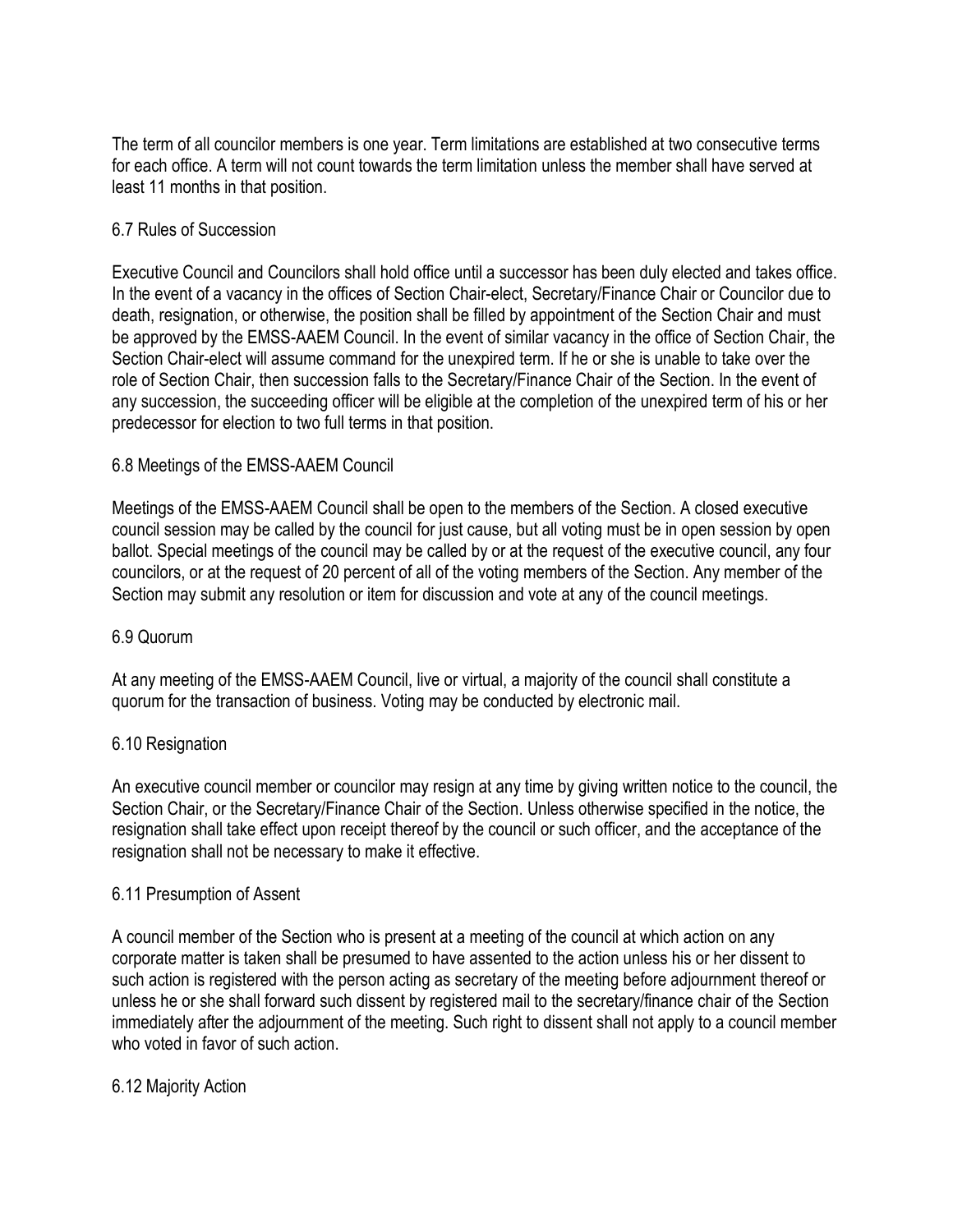The term of all councilor members is one year. Term limitations are established at two consecutive terms for each office. A term will not count towards the term limitation unless the member shall have served at least 11 months in that position.

# 6.7 Rules of Succession

Executive Council and Councilors shall hold office until a successor has been duly elected and takes office. In the event of a vacancy in the offices of Section Chair-elect, Secretary/Finance Chair or Councilor due to death, resignation, or otherwise, the position shall be filled by appointment of the Section Chair and must be approved by the EMSS-AAEM Council. In the event of similar vacancy in the office of Section Chair, the Section Chair-elect will assume command for the unexpired term. If he or she is unable to take over the role of Section Chair, then succession falls to the Secretary/Finance Chair of the Section. In the event of any succession, the succeeding officer will be eligible at the completion of the unexpired term of his or her predecessor for election to two full terms in that position.

# 6.8 Meetings of the EMSS-AAEM Council

Meetings of the EMSS-AAEM Council shall be open to the members of the Section. A closed executive council session may be called by the council for just cause, but all voting must be in open session by open ballot. Special meetings of the council may be called by or at the request of the executive council, any four councilors, or at the request of 20 percent of all of the voting members of the Section. Any member of the Section may submit any resolution or item for discussion and vote at any of the council meetings.

# 6.9 Quorum

At any meeting of the EMSS-AAEM Council, live or virtual, a majority of the council shall constitute a quorum for the transaction of business. Voting may be conducted by electronic mail.

# 6.10 Resignation

An executive council member or councilor may resign at any time by giving written notice to the council, the Section Chair, or the Secretary/Finance Chair of the Section. Unless otherwise specified in the notice, the resignation shall take effect upon receipt thereof by the council or such officer, and the acceptance of the resignation shall not be necessary to make it effective.

# 6.11 Presumption of Assent

A council member of the Section who is present at a meeting of the council at which action on any corporate matter is taken shall be presumed to have assented to the action unless his or her dissent to such action is registered with the person acting as secretary of the meeting before adjournment thereof or unless he or she shall forward such dissent by registered mail to the secretary/finance chair of the Section immediately after the adjournment of the meeting. Such right to dissent shall not apply to a council member who voted in favor of such action

# 6.12 Majority Action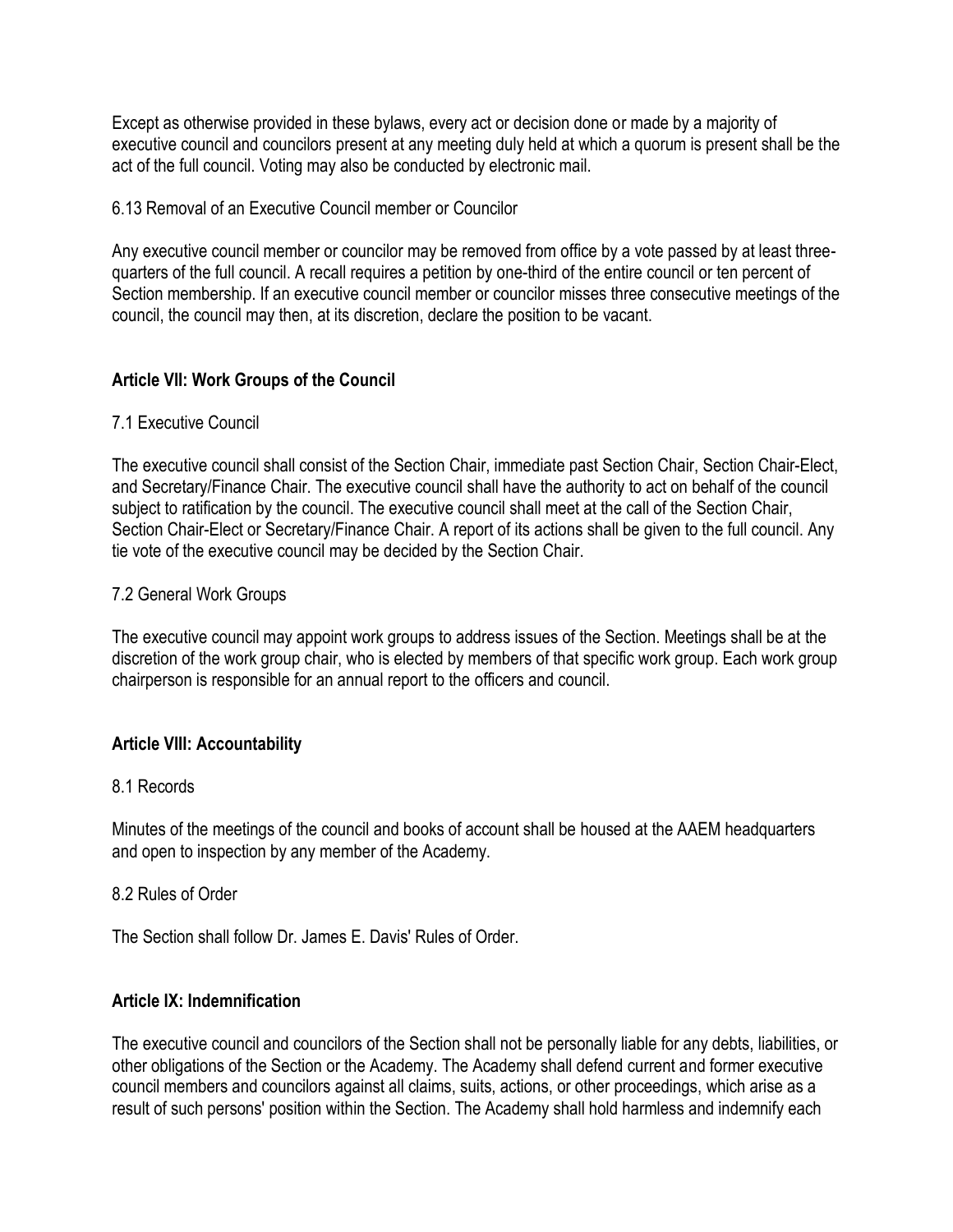Except as otherwise provided in these bylaws, every act or decision done or made by a majority of executive council and councilors present at any meeting duly held at which a quorum is present shall be the act of the full council. Voting may also be conducted by electronic mail.

#### 6.13 Removal of an Executive Council member or Councilor

Any executive council member or councilor may be removed from office by a vote passed by at least threequarters of the full council. A recall requires a petition by one-third of the entire council or ten percent of Section membership. If an executive council member or councilor misses three consecutive meetings of the council, the council may then, at its discretion, declare the position to be vacant.

# **Article VII: Work Groups of the Council**

# 7.1 Executive Council

The executive council shall consist of the Section Chair, immediate past Section Chair, Section Chair-Elect, and Secretary/Finance Chair. The executive council shall have the authority to act on behalf of the council subject to ratification by the council. The executive council shall meet at the call of the Section Chair, Section Chair-Elect or Secretary/Finance Chair. A report of its actions shall be given to the full council. Any tie vote of the executive council may be decided by the Section Chair.

#### 7.2 General Work Groups

The executive council may appoint work groups to address issues of the Section. Meetings shall be at the discretion of the work group chair, who is elected by members of that specific work group. Each work group chairperson is responsible for an annual report to the officers and council.

# **Article VIII: Accountability**

#### 8.1 Records

Minutes of the meetings of the council and books of account shall be housed at the AAEM headquarters and open to inspection by any member of the Academy.

#### 8.2 Rules of Order

The Section shall follow Dr. James E. Davis' Rules of Order.

# **Article IX: Indemnification**

The executive council and councilors of the Section shall not be personally liable for any debts, liabilities, or other obligations of the Section or the Academy. The Academy shall defend current and former executive council members and councilors against all claims, suits, actions, or other proceedings, which arise as a result of such persons' position within the Section. The Academy shall hold harmless and indemnify each